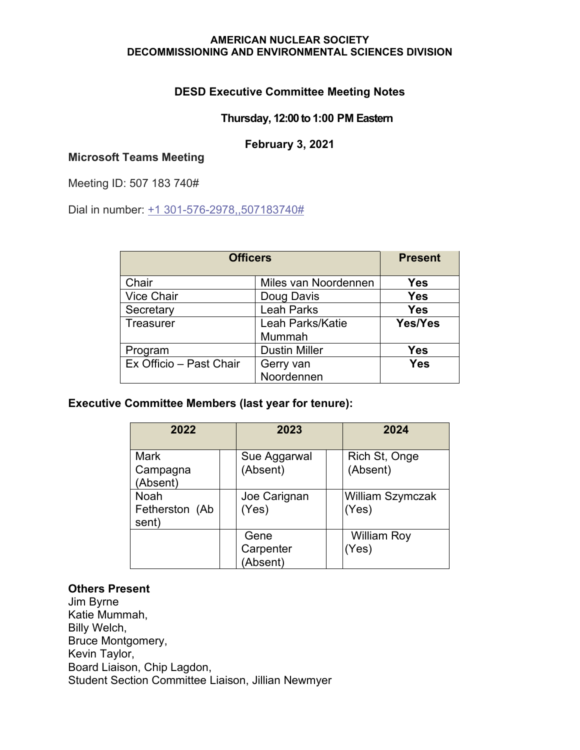## **DESD Executive Committee Meeting Notes**

### **Thursday, 12:00 to 1:00 PM Eastern**

### **February 3, 2021**

# **Microsoft Teams Meeting**

Meeting ID: 507 183 740#

Dial in number: [+1 301-576-2978,,507183740#](tel:+13015762978,,507183740#%20)

| <b>Officers</b>         |                            | <b>Present</b> |
|-------------------------|----------------------------|----------------|
| Chair                   | Miles van Noordennen       | Yes            |
| <b>Vice Chair</b>       | Doug Davis                 | <b>Yes</b>     |
| Secretary               | <b>Leah Parks</b>          | <b>Yes</b>     |
| <b>Treasurer</b>        | Leah Parks/Katie<br>Mummah | Yes/Yes        |
| Program                 | <b>Dustin Miller</b>       | Yes            |
| Ex Officio - Past Chair | Gerry van<br>Noordennen    | Yes            |

### **Executive Committee Members (last year for tenure):**

| 2022                                   | 2023                          | 2024                             |
|----------------------------------------|-------------------------------|----------------------------------|
| <b>Mark</b><br>Campagna<br>(Absent)    | Sue Aggarwal<br>(Absent)      | Rich St, Onge<br>(Absent)        |
| <b>Noah</b><br>Fetherston (Ab<br>sent) | Joe Carignan<br>(Yes)         | <b>William Szymczak</b><br>(Yes) |
|                                        | Gene<br>Carpenter<br>(Absent) | <b>William Roy</b><br>(Yes)      |

### **Others Present**

Jim Byrne Katie Mummah, Billy Welch, Bruce Montgomery, Kevin Taylor, Board Liaison, Chip Lagdon, Student Section Committee Liaison, Jillian Newmyer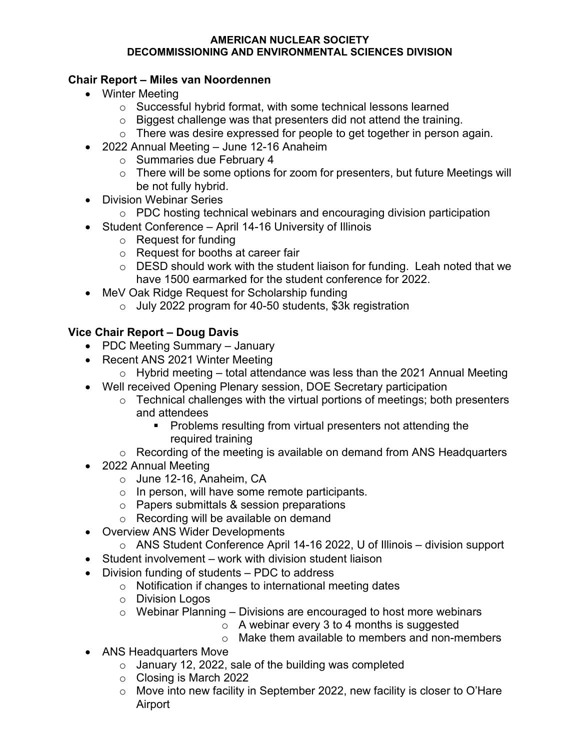# **Chair Report – Miles van Noordennen**

- Winter Meeting
	- o Successful hybrid format, with some technical lessons learned
	- o Biggest challenge was that presenters did not attend the training.
	- o There was desire expressed for people to get together in person again.
- 2022 Annual Meeting June 12-16 Anaheim
	- o Summaries due February 4
	- $\circ$  There will be some options for zoom for presenters, but future Meetings will be not fully hybrid.
- Division Webinar Series
	- o PDC hosting technical webinars and encouraging division participation
- Student Conference April 14-16 University of Illinois
	- o Request for funding
	- o Request for booths at career fair
	- $\circ$  DESD should work with the student liaison for funding. Leah noted that we have 1500 earmarked for the student conference for 2022.
- MeV Oak Ridge Request for Scholarship funding
	- o July 2022 program for 40-50 students, \$3k registration

# **Vice Chair Report – Doug Davis**

- PDC Meeting Summary January
- Recent ANS 2021 Winter Meeting
	- $\circ$  Hybrid meeting total attendance was less than the 2021 Annual Meeting
- Well received Opening Plenary session, DOE Secretary participation
	- $\circ$  Technical challenges with the virtual portions of meetings; both presenters and attendees
		- **Problems resulting from virtual presenters not attending the** required training
	- o Recording of the meeting is available on demand from ANS Headquarters
- 2022 Annual Meeting
	- o June 12-16, Anaheim, CA
	- o In person, will have some remote participants.
	- o Papers submittals & session preparations
	- o Recording will be available on demand
- Overview ANS Wider Developments
- o ANS Student Conference April 14-16 2022, U of Illinois division support
- Student involvement work with division student liaison
- Division funding of students PDC to address
	- o Notification if changes to international meeting dates
	- o Division Logos
	- $\circ$  Webinar Planning Divisions are encouraged to host more webinars
		- $\circ$  A webinar every 3 to 4 months is suggested
		- $\circ$  Make them available to members and non-members
- ANS Headquarters Move
	- $\circ$  January 12, 2022, sale of the building was completed
	- o Closing is March 2022
	- o Move into new facility in September 2022, new facility is closer to O'Hare Airport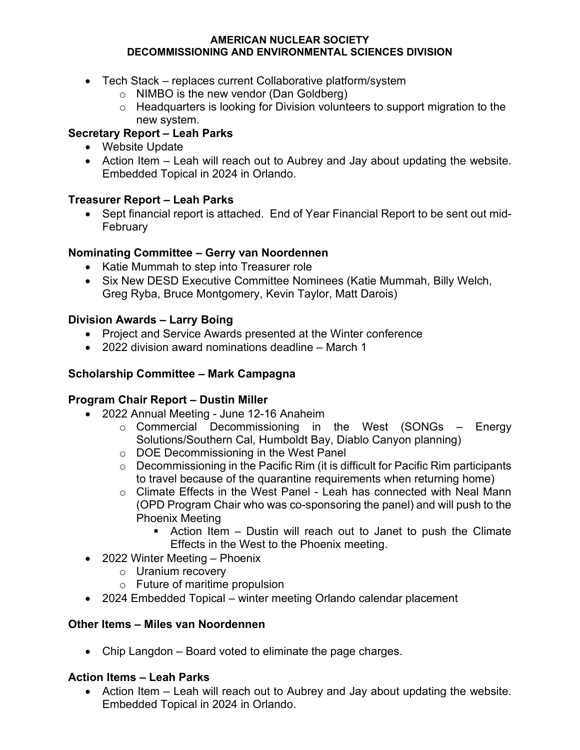- Tech Stack replaces current Collaborative platform/system
	- o NIMBO is the new vendor (Dan Goldberg)
	- o Headquarters is looking for Division volunteers to support migration to the new system.

# **Secretary Report – Leah Parks**

- Website Update
- Action Item Leah will reach out to Aubrey and Jay about updating the website. Embedded Topical in 2024 in Orlando.

# **Treasurer Report – Leah Parks**

• Sept financial report is attached. End of Year Financial Report to be sent out mid-February

# **Nominating Committee – Gerry van Noordennen**

- Katie Mummah to step into Treasurer role
- Six New DESD Executive Committee Nominees (Katie Mummah, Billy Welch, Greg Ryba, Bruce Montgomery, Kevin Taylor, Matt Darois)

## **Division Awards – Larry Boing**

- Project and Service Awards presented at the Winter conference
- 2022 division award nominations deadline March 1

## **Scholarship Committee – Mark Campagna**

### **Program Chair Report – Dustin Miller**

- 2022 Annual Meeting June 12-16 Anaheim
	- $\circ$  Commercial Decommissioning in the West (SONGs Energy Solutions/Southern Cal, Humboldt Bay, Diablo Canyon planning)
	- o DOE Decommissioning in the West Panel
	- $\circ$  Decommissioning in the Pacific Rim (it is difficult for Pacific Rim participants to travel because of the quarantine requirements when returning home)
	- o Climate Effects in the West Panel Leah has connected with Neal Mann (OPD Program Chair who was co-sponsoring the panel) and will push to the Phoenix Meeting
		- Action Item Dustin will reach out to Janet to push the Climate Effects in the West to the Phoenix meeting.
- 2022 Winter Meeting Phoenix
	- o Uranium recovery
	- o Future of maritime propulsion
- 2024 Embedded Topical winter meeting Orlando calendar placement

### **Other Items – Miles van Noordennen**

• Chip Langdon – Board voted to eliminate the page charges.

# **Action Items – Leah Parks**

• Action Item – Leah will reach out to Aubrey and Jay about updating the website. Embedded Topical in 2024 in Orlando.